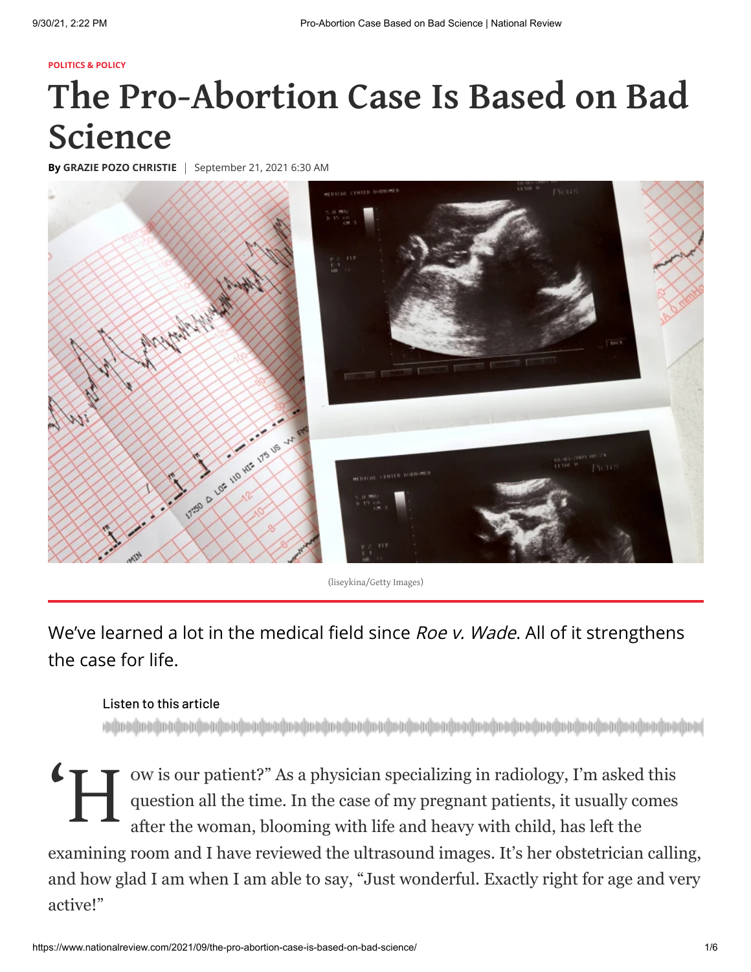#### **[POLITICS & POLICY](https://www.nationalreview.com/politics-policy/)**

# **The Pro-Abortion Case Is Based on Bad Science**

**By [GRAZIE POZO CHRISTIE](https://www.nationalreview.com/author/grazie-pozo-christie/)** | September 21, 2021 6:30 AM



(liseykina/Getty Images)

We've learned a lot in the medical field since Roe v. Wade. All of it strengthens the case for life.

### Listen to this article

<sup>ov</sup> H  $_{\text{qu}}^{\text{ov}}$ ow is our patient?" As a physician specializing in radiology, I'm asked this question all the time. In the case of my pregnant patients, it usually comes after the woman, blooming with life and heavy with child, has left the examining room and I have reviewed the ultrasound images. It's her obstetrician calling, and how glad I am when I am able to say, "Just wonderful. Exactly right for age and very active!"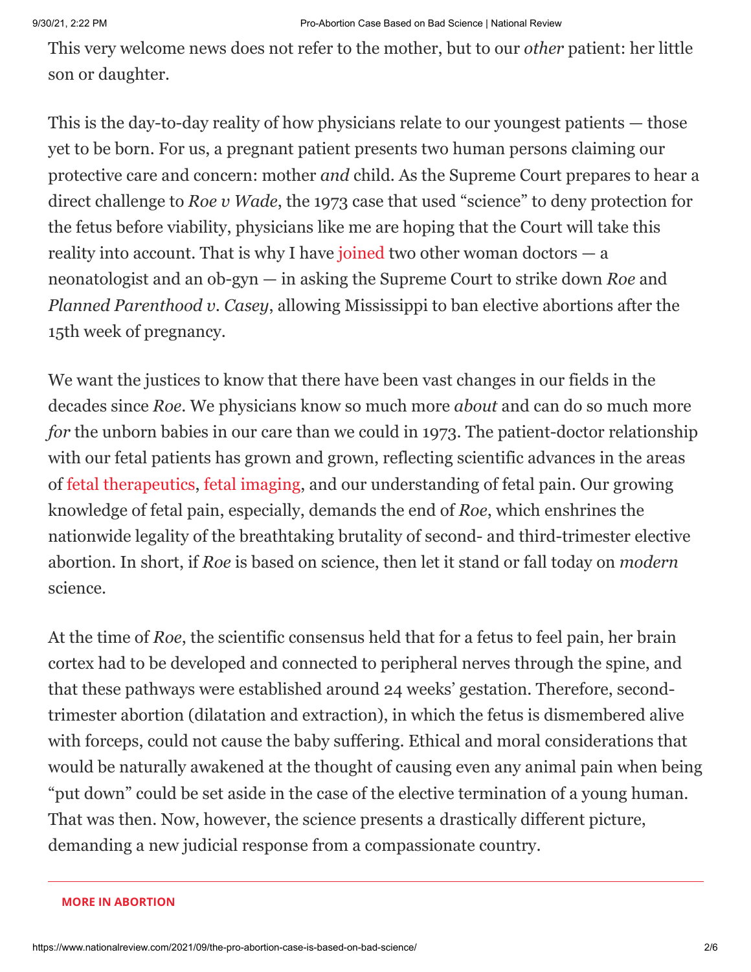This very welcome news does not refer to the mother, but to our *other* patient: her little son or daughter.

This is the day-to-day reality of how physicians relate to our youngest patients — those yet to be born. For us, a pregnant patient presents two human persons claiming our protective care and concern: mother *and* child. As the Supreme Court prepares to hear a direct challenge to *Roe v Wade*, the 1973 case that used "science" to deny protection for the fetus before viability, physicians like me are hoping that the Court will take this reality into account. That is why I have [joined](https://www.supremecourt.gov/DocketPDF/19/19-1392/185351/20210729163513970_19-1392%20Amicus%20Brief%20in%20Support%20of%20Petitioners.pdf) two other woman doctors  $-$  a neonatologist and an ob-gyn — in asking the Supreme Court to strike down *Roe* and *Planned Parenthood v. Casey*, allowing Mississippi to ban elective abortions after the 15th week of pregnancy.

We want the justices to know that there have been vast changes in our fields in the decades since *Roe*. We physicians know so much more *about* and can do so much more *for* the unborn babies in our care than we could in 1973. The patient-doctor relationship with our fetal patients has grown and grown, reflecting scientific advances in the areas of [fetal therapeutics](https://jme.bmj.com/content/medethics/46/1/3.full.pdf), [fetal imaging](https://pubs.rsna.org/doi/10.1148/radiol.14140238), and our understanding of fetal pain. Our growing knowledge of fetal pain, especially, demands the end of *Roe*, which enshrines the nationwide legality of the breathtaking brutality of second- and third-trimester elective abortion. In short, if *Roe* is based on science, then let it stand or fall today on *modern* science.

At the time of *Roe*, the scientific consensus held that for a fetus to feel pain, her brain cortex had to be developed and connected to peripheral nerves through the spine, and that these pathways were established around 24 weeks' gestation. Therefore, secondtrimester abortion (dilatation and extraction), in which the fetus is dismembered alive with forceps, could not cause the baby suffering. Ethical and moral considerations that would be naturally awakened at the thought of causing even any animal pain when being "put down" could be set aside in the case of the elective termination of a young human. That was then. Now, however, the science presents a drastically different picture, demanding a new judicial response from a compassionate country.

#### **MORE [IN ABORTION](https://www.nationalreview.com/tag/abortion/?utm_source=recirc-desktop&utm_medium=article&utm_campaign=river&utm_content=more-in-tag&utm_term=header)**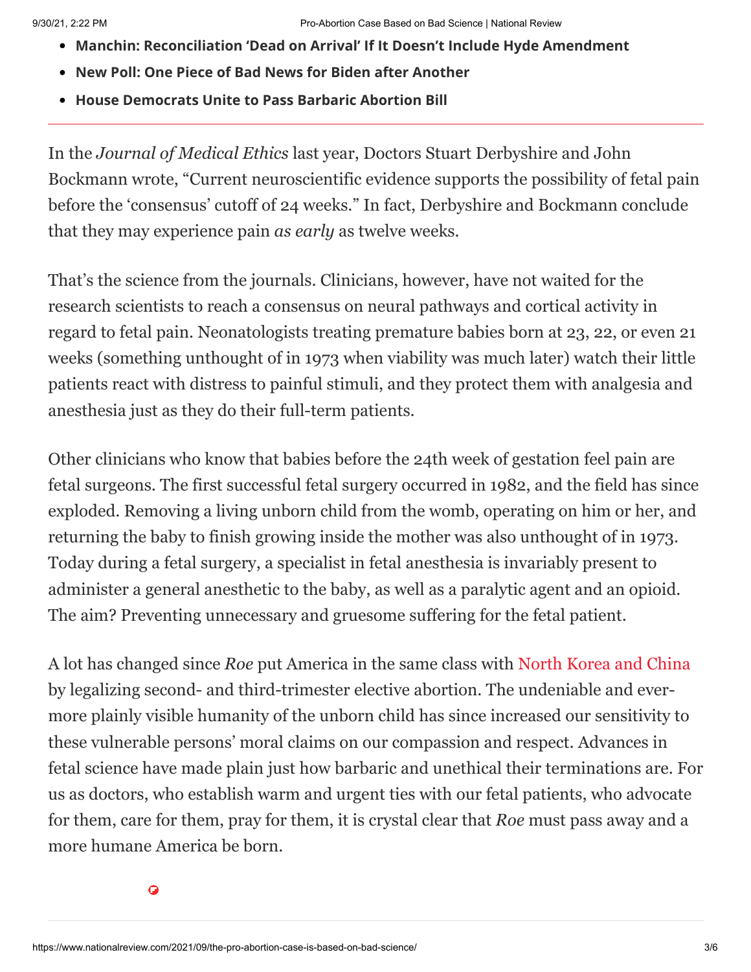- **Manchin: [Reconciliation](https://www.nationalreview.com/corner/manchin-reconciliation-dead-on-arrival-if-it-doesnt-include-hyde-amendment/?utm_source=recirc-desktop&utm_medium=article&utm_campaign=river&utm_content=more-in-tag&utm_term=first) 'Dead on Arrival' If It Doesn't Include Hyde Amendment**
- **New Poll: One Piece of Bad News for Biden after [Another](https://www.nationalreview.com/2021/09/new-poll-one-piece-of-bad-news-for-biden-after-another/?utm_source=recirc-desktop&utm_medium=article&utm_campaign=river&utm_content=more-in-tag&utm_term=second)**
- **House [Democrats](https://www.nationalreview.com/2021/09/house-democrats-unite-to-advance-barbaric-abortion-bill/?utm_source=recirc-desktop&utm_medium=article&utm_campaign=river&utm_content=more-in-tag&utm_term=third) Unite to Pass Barbaric Abortion Bill**

In the *Journal of Medical Ethics* last year, Doctors Stuart Derbyshire and John Bockmann wrote, "Current neuroscientific evidence supports the possibility of fetal pain before the 'consensus' cutoff of 24 weeks." In fact, Derbyshire and Bockmann conclude that they may experience pain *as early* as twelve weeks.

That's the science from the journals. Clinicians, however, have not waited for the research scientists to reach a consensus on neural pathways and cortical activity in regard to fetal pain. Neonatologists treating premature babies born at 23, 22, or even 21 weeks (something unthought of in 1973 when viability was much later) watch their little patients react with distress to painful stimuli, and they protect them with analgesia and anesthesia just as they do their full-term patients.

Other clinicians who know that babies before the 24th week of gestation feel pain are fetal surgeons. The first successful fetal surgery occurred in 1982, and the field has since exploded. Removing a living unborn child from the womb, operating on him or her, and returning the baby to finish growing inside the mother was also unthought of in 1973. Today during a fetal surgery, a specialist in fetal anesthesia is invariably present to administer a general anesthetic to the baby, as well as a paralytic agent and an opioid. The aim? Preventing unnecessary and gruesome suffering for the fetal patient.

A lot has changed since *Roe* put America in the same class with [North Korea and China](https://www.washingtonpost.com/news/fact-checker/wp/2017/10/09/is-the-united-states-one-of-seven-countries-that-allow-elective-abortions-after-20-weeks-of-pregnancy/) by legalizing second- and third-trimester elective abortion. The undeniable and evermore plainly visible humanity of the unborn child has since increased our sensitivity to these vulnerable persons' moral claims on our compassion and respect. Advances in fetal science have made plain just how barbaric and unethical their terminations are. For us as doctors, who establish warm and urgent ties with our fetal patients, who advocate for them, care for them, pray for them, it is crystal clear that *Roe* must pass away and a more humane America be born.

 $\ddot{\mathbf{Q}}$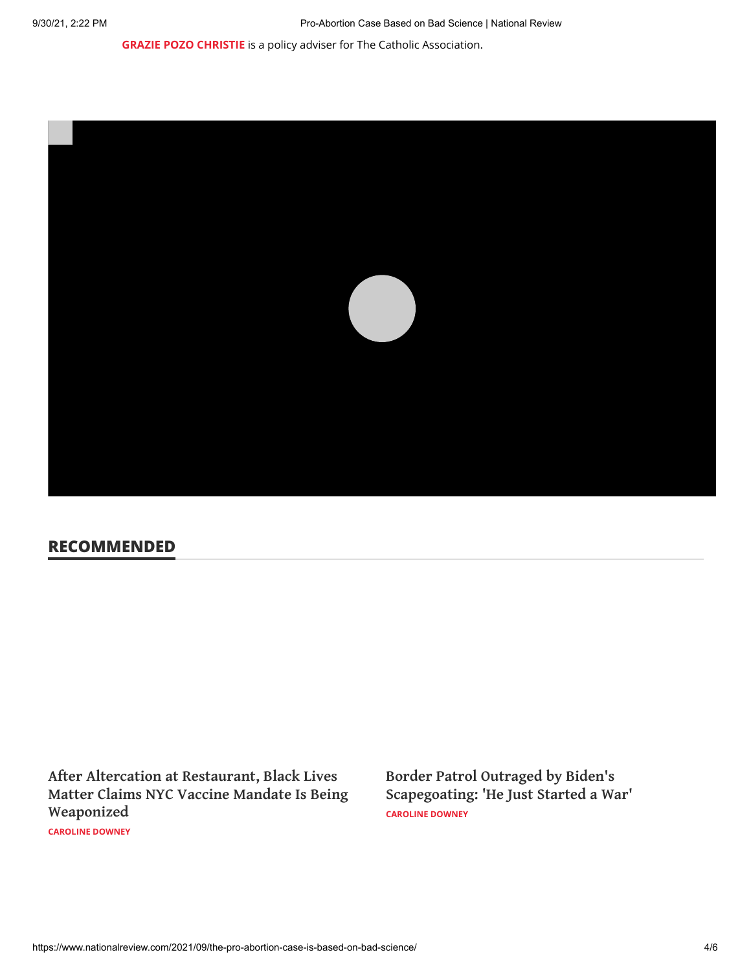**[GRAZIE POZO CHRISTIE](https://www.nationalreview.com/author/grazie-pozo-christie/)** is a policy adviser for The Catholic Association.



## **RECOMMENDED**

**After Altercation at Restaurant, Black Lives Matter Claims NYC Vaccine Mandate Is Being [Weaponized](https://www.nationalreview.com/news/after-altercation-at-restaurant-black-lives-matter-claims-nyc-vaccine-mandate-is-being-weaponized/?utm_source=recirc-desktop&utm_medium=article&utm_campaign=river&utm_content=native-evergreen&utm_term=first)**

**[CAROLINE DOWNEY](https://www.nationalreview.com/author/caroline-downey/)**

**[CAROLINE DOWNEY](https://www.nationalreview.com/author/caroline-downey/) Border Patrol Outraged by Biden's [Scapegoating:](https://www.nationalreview.com/news/border-patrol-outraged-by-bidens-scapegoating-he-just-started-a-war/?utm_source=recirc-desktop&utm_medium=article&utm_campaign=river&utm_content=native-evergreen&utm_term=second) 'He Just Started a War'**